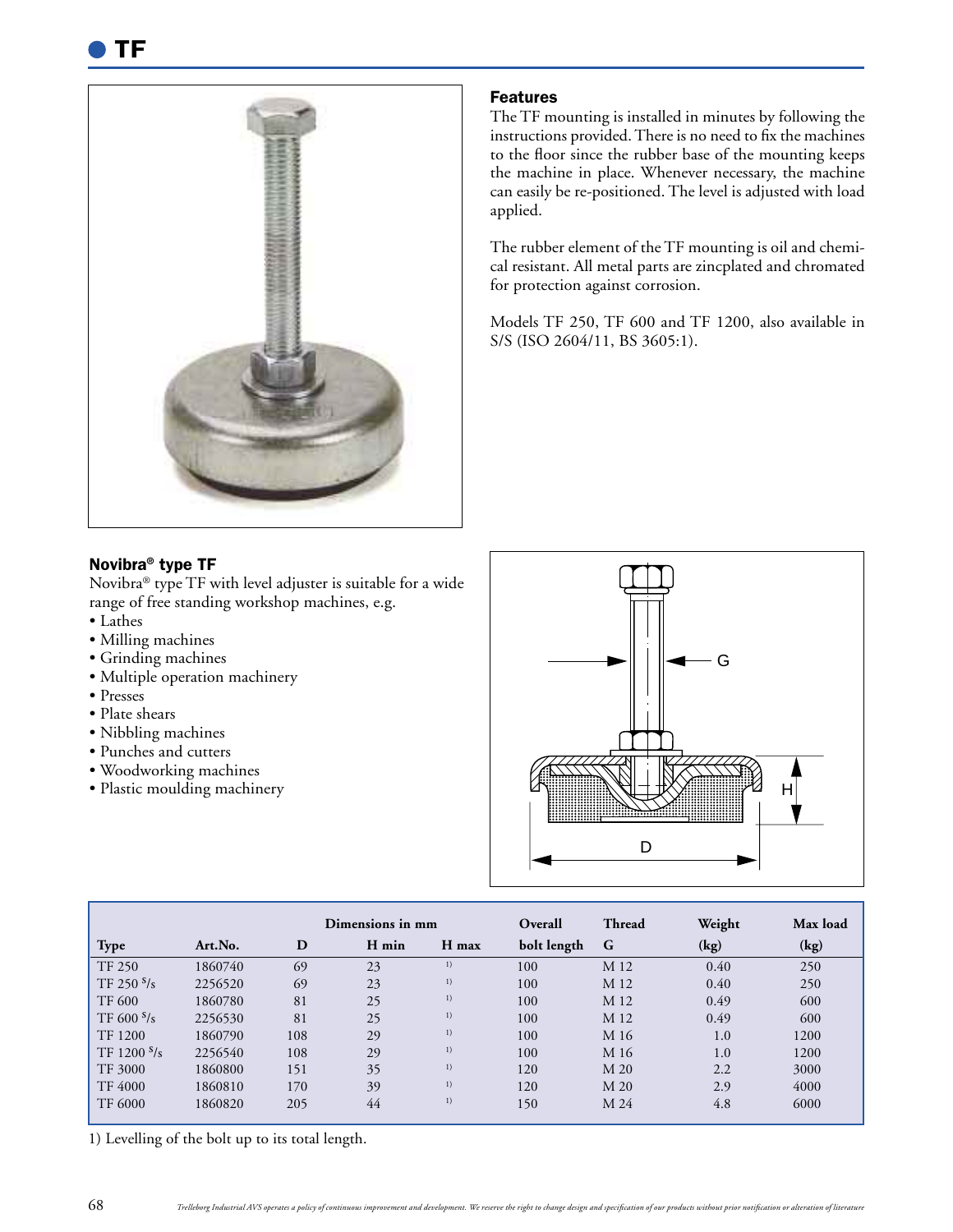

## Features

The TF mounting is installed in minutes by following the instructions provided. There is no need to fix the machines to the floor since the rubber base of the mounting keeps the machine in place. Whenever necessary, the machine can easily be re-positioned. The level is adjusted with load applied.

The rubber element of the TF mounting is oil and chemical resistant. All metal parts are zincplated and chromated for protection against corrosion.

Models TF 250, TF 600 and TF 1200, also available in S/S (ISO 2604/11, BS 3605:1).

## Novibra® type TF

Novibra® type TF with level adjuster is suitable for a wide range of free standing workshop machines, e.g.

- Lathes
- Milling machines
- Grinding machines
- Multiple operation machinery
- Presses
- Plate shears
- Nibbling machines
- Punches and cutters
- Woodworking machines
- Plastic moulding machinery



|                |         |     | Dimensions in mm |       | Overall     | <b>Thread</b> | Weight | Max load |
|----------------|---------|-----|------------------|-------|-------------|---------------|--------|----------|
| <b>Type</b>    | Art.No. | D   | H min            | H max | bolt length | G             | (kg)   | (kg)     |
| <b>TF 250</b>  | 1860740 | 69  | 23               | 1)    | 100         | M 12          | 0.40   | 250      |
| TF 250 $s/s$   | 2256520 | 69  | 23               | 1)    | 100         | M 12          | 0.40   | 250      |
| <b>TF 600</b>  | 1860780 | 81  | 25               | 1)    | 100         | M 12          | 0.49   | 600      |
| TF 600 s/s     | 2256530 | 81  | 25               | 1)    | 100         | M 12          | 0.49   | 600      |
| TF 1200        | 1860790 | 108 | 29               | 1)    | 100         | M 16          | 1.0    | 1200     |
| TF 1200 $s/s$  | 2256540 | 108 | 29               | 1)    | 100         | M 16          | 1.0    | 1200     |
| TF 3000        | 1860800 | 151 | 35               | 1)    | 120         | M 20          | 2.2    | 3000     |
| <b>TF 4000</b> | 1860810 | 170 | 39               | 1)    | 120         | M 20          | 2.9    | 4000     |
| <b>TF 6000</b> | 1860820 | 205 | 44               | 1)    | 150         | M 24          | 4.8    | 6000     |

1) Levelling of the bolt up to its total length.